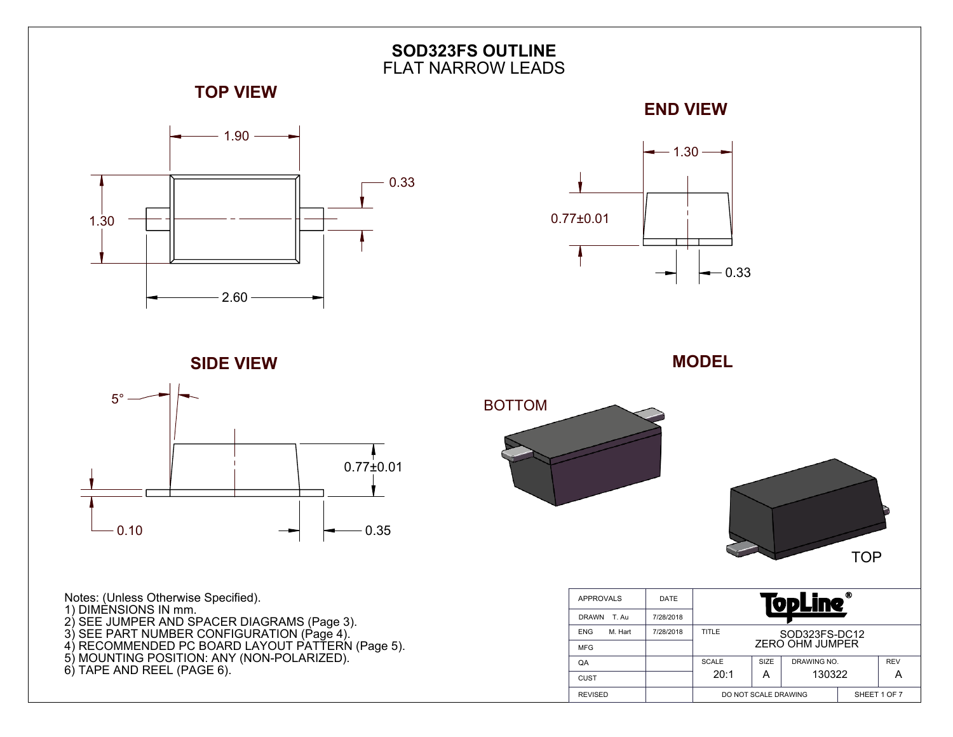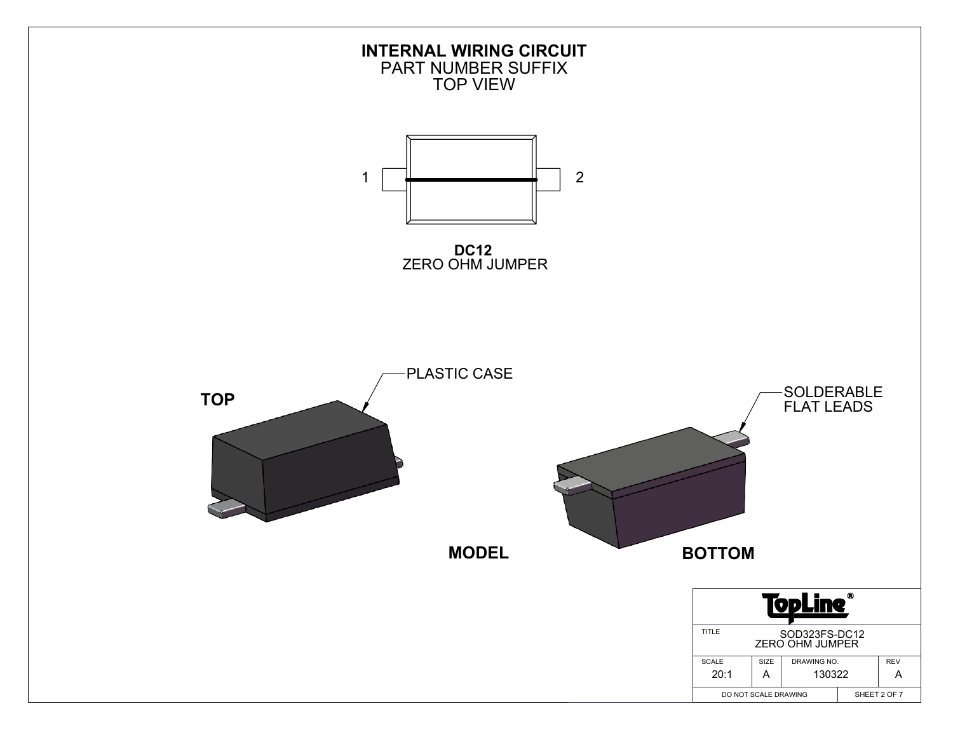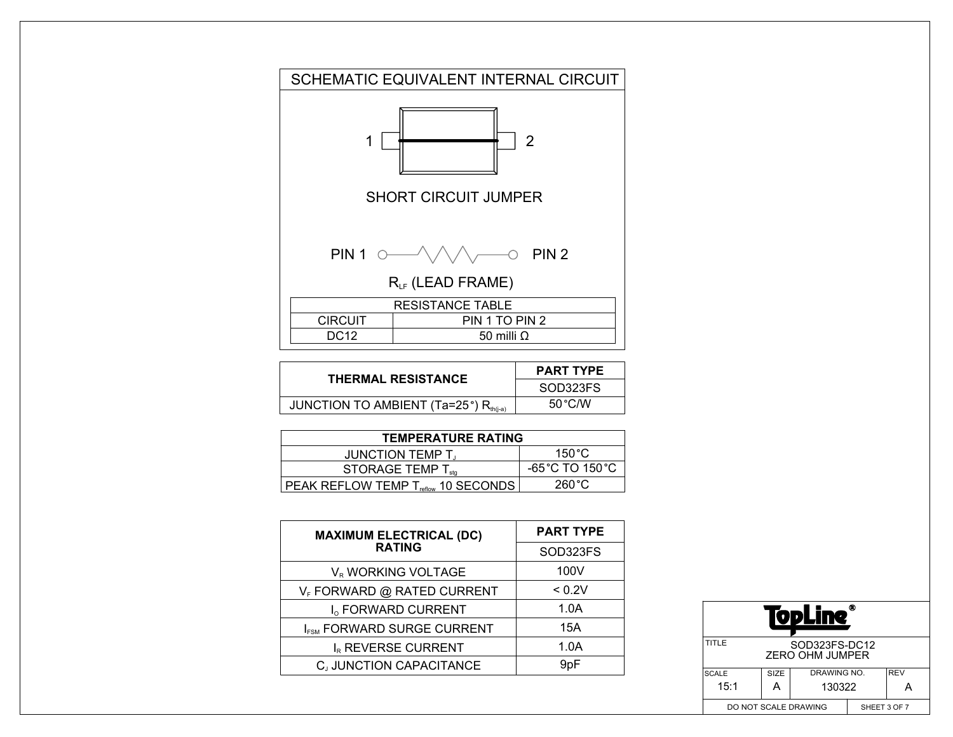

| <b>THERMAL RESISTANCE</b>                                    | <b>PART TYPE</b> |  |  |
|--------------------------------------------------------------|------------------|--|--|
|                                                              | SOD323FS         |  |  |
| JUNCTION TO AMBIENT (Ta=25 $^{\circ}$ ) R <sub>th(i-a)</sub> | $50^{\circ}$ C/W |  |  |

| <b>TEMPERATURE RATING</b>                       |                                     |  |  |  |  |
|-------------------------------------------------|-------------------------------------|--|--|--|--|
| <b>JUNCTION TEMP T.</b>                         | 150 °C                              |  |  |  |  |
| STORAGE TEMP $T_{\text{stq}}$                   | $-65^{\circ}$ C TO 150 $^{\circ}$ C |  |  |  |  |
| PEAK REFLOW TEMP T <sub>reflow</sub> 10 SECONDS | 260 °C                              |  |  |  |  |

| <b>MAXIMUM ELECTRICAL (DC)</b>         | <b>PART TYPE</b> |  |  |
|----------------------------------------|------------------|--|--|
| <b>RATING</b>                          | SOD323FS         |  |  |
| V <sub>R</sub> WORKING VOLTAGE         | 100V             |  |  |
| V <sub>F</sub> FORWARD @ RATED CURRENT | < 0.2V           |  |  |
| I <sub>o</sub> FORWARD CURRENT         | 1.0A             |  |  |
| I <sub>FSM</sub> FORWARD SURGE CURRENT | 15A              |  |  |
| IR REVERSE CURRENT                     | 1.0A             |  |  |
| CJ JUNCTION CAPACITANCE                | 9pF              |  |  |

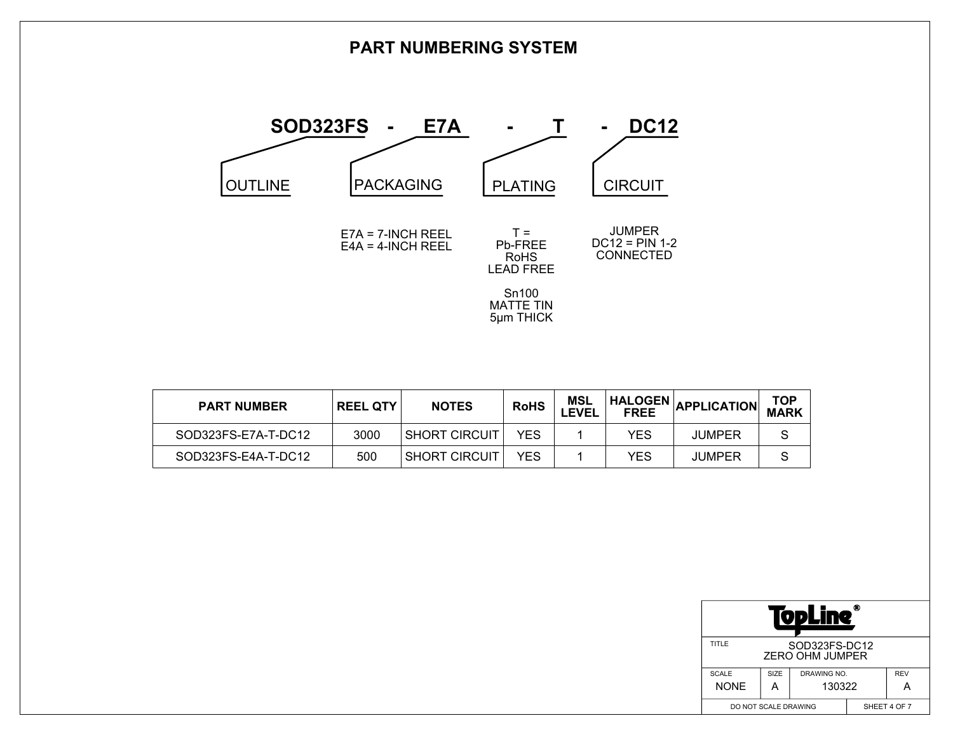## **PART NUMBERING SYSTEM**



| <b>PART NUMBER</b>  | <b>REEL QTY</b> | <b>NOTES</b>         | <b>RoHS</b> | MSL<br><b>LEVEL</b> |     | HALOGEN APPLICATION | TOP<br>MARK |
|---------------------|-----------------|----------------------|-------------|---------------------|-----|---------------------|-------------|
| SOD323FS-E7A-T-DC12 | 3000            | I SHORT CIRCUIT      | YFS         |                     | YES | <b>JUMPER</b>       |             |
| SOD323FS-E4A-T-DC12 | 500             | <b>SHORT CIRCUIT</b> | YFS         |                     | YES | <b>JUMPER</b>       |             |

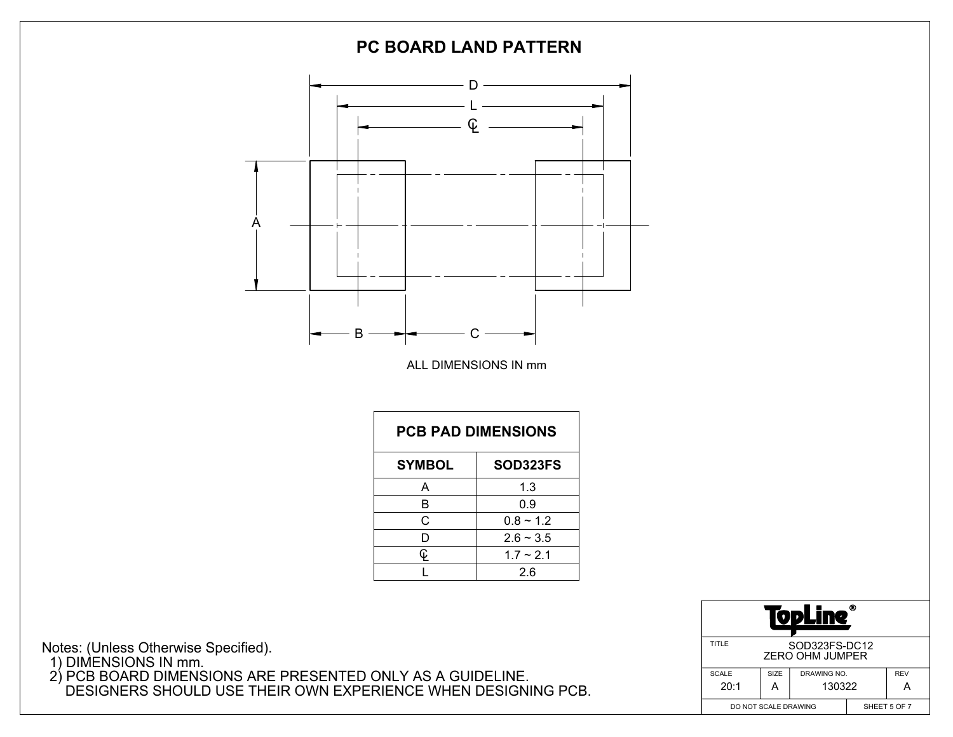

Notes: (Unless Otherwise Specified). 1) DIMENSIONS IN mm. 2) PCB BOARD DIMENSIONS ARE PRESENTED ONLY AS A GUIDELINE. DESIGNERS SHOULD USE THEIR OWN EXPERIENCE WHEN DESIGNING PCB.

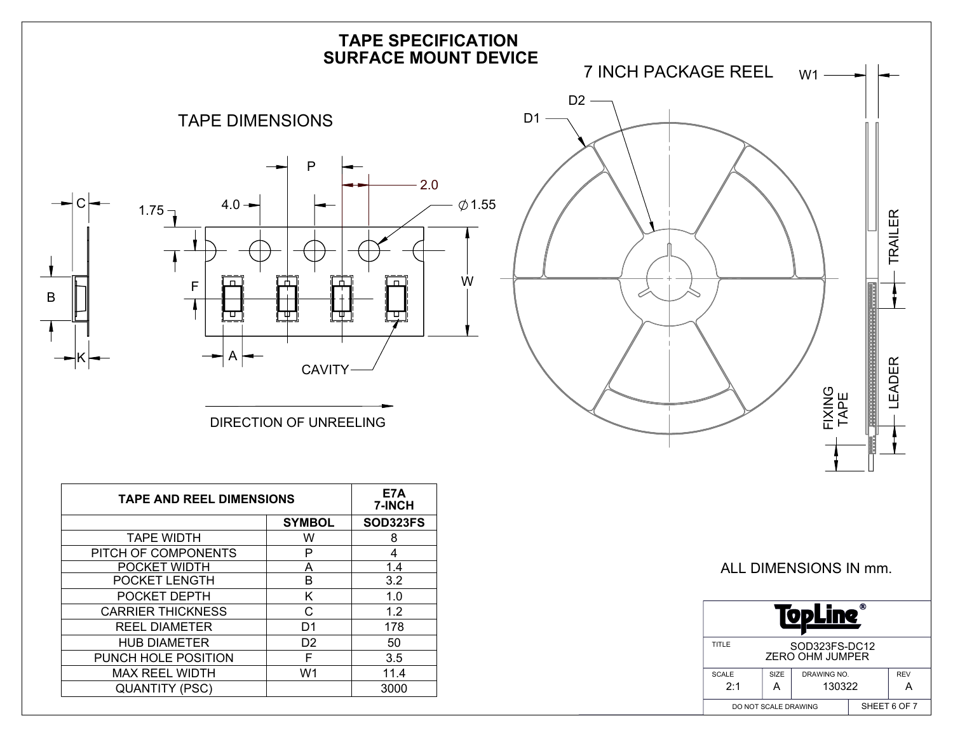